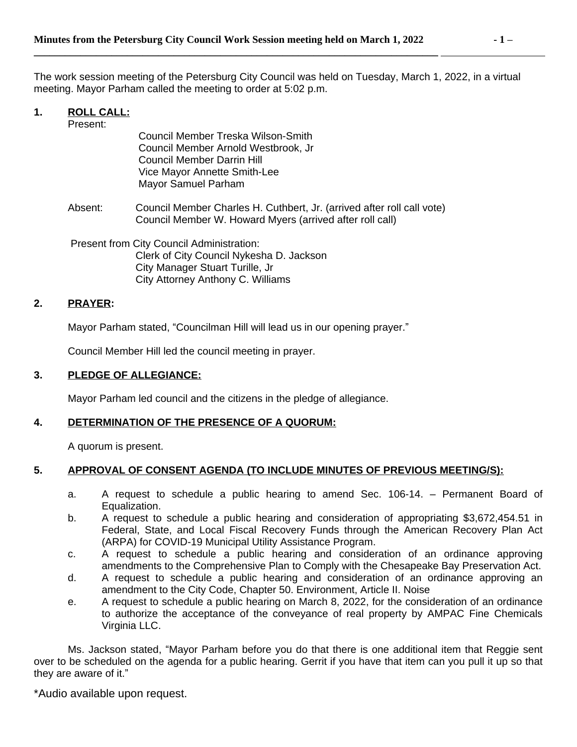The work session meeting of the Petersburg City Council was held on Tuesday, March 1, 2022, in a virtual meeting. Mayor Parham called the meeting to order at 5:02 p.m.

# **1. ROLL CALL:**

Present:

 Council Member Treska Wilson-Smith Council Member Arnold Westbrook, Jr Council Member Darrin Hill Vice Mayor Annette Smith-Lee Mayor Samuel Parham

Absent: Council Member Charles H. Cuthbert, Jr. (arrived after roll call vote) Council Member W. Howard Myers (arrived after roll call)

Present from City Council Administration: Clerk of City Council Nykesha D. Jackson City Manager Stuart Turille, Jr City Attorney Anthony C. Williams

# **2. PRAYER:**

Mayor Parham stated, "Councilman Hill will lead us in our opening prayer."

Council Member Hill led the council meeting in prayer.

### **3. PLEDGE OF ALLEGIANCE:**

Mayor Parham led council and the citizens in the pledge of allegiance.

### **4. DETERMINATION OF THE PRESENCE OF A QUORUM:**

A quorum is present.

### **5. APPROVAL OF CONSENT AGENDA (TO INCLUDE MINUTES OF PREVIOUS MEETING/S):**

- a. A request to schedule a public hearing to amend Sec. 106-14. Permanent Board of Equalization.
- b. A request to schedule a public hearing and consideration of appropriating \$3,672,454.51 in Federal, State, and Local Fiscal Recovery Funds through the American Recovery Plan Act (ARPA) for COVID-19 Municipal Utility Assistance Program.
- c. A request to schedule a public hearing and consideration of an ordinance approving amendments to the Comprehensive Plan to Comply with the Chesapeake Bay Preservation Act.
- d. A request to schedule a public hearing and consideration of an ordinance approving an amendment to the City Code, Chapter 50. Environment, Article II. Noise
- e. A request to schedule a public hearing on March 8, 2022, for the consideration of an ordinance to authorize the acceptance of the conveyance of real property by AMPAC Fine Chemicals Virginia LLC.

Ms. Jackson stated, "Mayor Parham before you do that there is one additional item that Reggie sent over to be scheduled on the agenda for a public hearing. Gerrit if you have that item can you pull it up so that they are aware of it."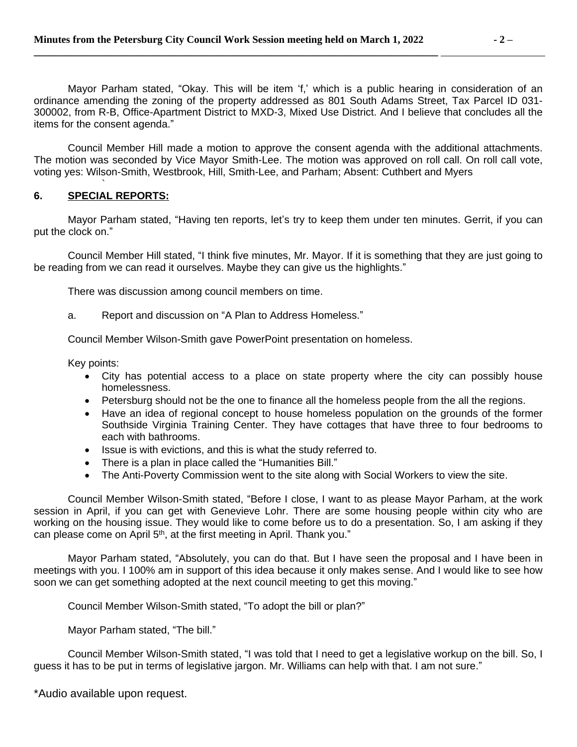Mayor Parham stated, "Okay. This will be item 'f,' which is a public hearing in consideration of an ordinance amending the zoning of the property addressed as 801 South Adams Street, Tax Parcel ID 031- 300002, from R-B, Office-Apartment District to MXD-3, Mixed Use District. And I believe that concludes all the items for the consent agenda."

Council Member Hill made a motion to approve the consent agenda with the additional attachments. The motion was seconded by Vice Mayor Smith-Lee. The motion was approved on roll call. On roll call vote, voting yes: Wilson-Smith, Westbrook, Hill, Smith-Lee, and Parham; Absent: Cuthbert and Myers

#### ` **6. SPECIAL REPORTS:**

Mayor Parham stated, "Having ten reports, let's try to keep them under ten minutes. Gerrit, if you can put the clock on."

Council Member Hill stated, "I think five minutes, Mr. Mayor. If it is something that they are just going to be reading from we can read it ourselves. Maybe they can give us the highlights."

There was discussion among council members on time.

a. Report and discussion on "A Plan to Address Homeless."

Council Member Wilson-Smith gave PowerPoint presentation on homeless.

Key points:

- City has potential access to a place on state property where the city can possibly house homelessness.
- Petersburg should not be the one to finance all the homeless people from the all the regions.
- Have an idea of regional concept to house homeless population on the grounds of the former Southside Virginia Training Center. They have cottages that have three to four bedrooms to each with bathrooms.
- Issue is with evictions, and this is what the study referred to.
- There is a plan in place called the "Humanities Bill."
- The Anti-Poverty Commission went to the site along with Social Workers to view the site.

Council Member Wilson-Smith stated, "Before I close, I want to as please Mayor Parham, at the work session in April, if you can get with Genevieve Lohr. There are some housing people within city who are working on the housing issue. They would like to come before us to do a presentation. So, I am asking if they can please come on April 5<sup>th</sup>, at the first meeting in April. Thank you."

Mayor Parham stated, "Absolutely, you can do that. But I have seen the proposal and I have been in meetings with you. I 100% am in support of this idea because it only makes sense. And I would like to see how soon we can get something adopted at the next council meeting to get this moving."

Council Member Wilson-Smith stated, "To adopt the bill or plan?"

Mayor Parham stated, "The bill."

Council Member Wilson-Smith stated, "I was told that I need to get a legislative workup on the bill. So, I guess it has to be put in terms of legislative jargon. Mr. Williams can help with that. I am not sure."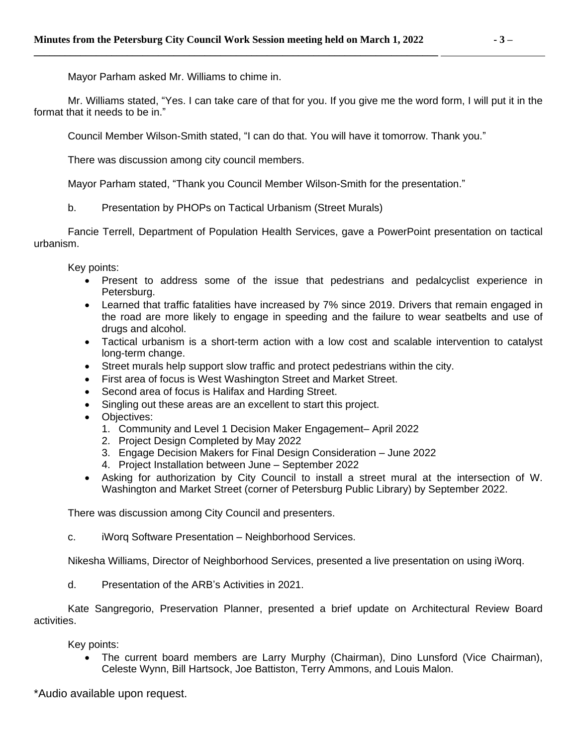Mayor Parham asked Mr. Williams to chime in.

Mr. Williams stated, "Yes. I can take care of that for you. If you give me the word form, I will put it in the format that it needs to be in."

Council Member Wilson-Smith stated, "I can do that. You will have it tomorrow. Thank you."

There was discussion among city council members.

Mayor Parham stated, "Thank you Council Member Wilson-Smith for the presentation."

b. Presentation by PHOPs on Tactical Urbanism (Street Murals)

Fancie Terrell, Department of Population Health Services, gave a PowerPoint presentation on tactical urbanism.

Key points:

- Present to address some of the issue that pedestrians and pedalcyclist experience in Petersburg.
- Learned that traffic fatalities have increased by 7% since 2019. Drivers that remain engaged in the road are more likely to engage in speeding and the failure to wear seatbelts and use of drugs and alcohol.
- Tactical urbanism is a short-term action with a low cost and scalable intervention to catalyst long-term change.
- Street murals help support slow traffic and protect pedestrians within the city.
- First area of focus is West Washington Street and Market Street.
- Second area of focus is Halifax and Harding Street.
- Singling out these areas are an excellent to start this project.
- Objectives:
	- 1. Community and Level 1 Decision Maker Engagement– April 2022
	- 2. Project Design Completed by May 2022
	- 3. Engage Decision Makers for Final Design Consideration June 2022
	- 4. Project Installation between June September 2022
- Asking for authorization by City Council to install a street mural at the intersection of W. Washington and Market Street (corner of Petersburg Public Library) by September 2022.

There was discussion among City Council and presenters.

c. iWorq Software Presentation – Neighborhood Services.

Nikesha Williams, Director of Neighborhood Services, presented a live presentation on using iWorq.

d. Presentation of the ARB's Activities in 2021.

Kate Sangregorio, Preservation Planner, presented a brief update on Architectural Review Board activities.

Key points:

 The current board members are Larry Murphy (Chairman), Dino Lunsford (Vice Chairman), Celeste Wynn, Bill Hartsock, Joe Battiston, Terry Ammons, and Louis Malon.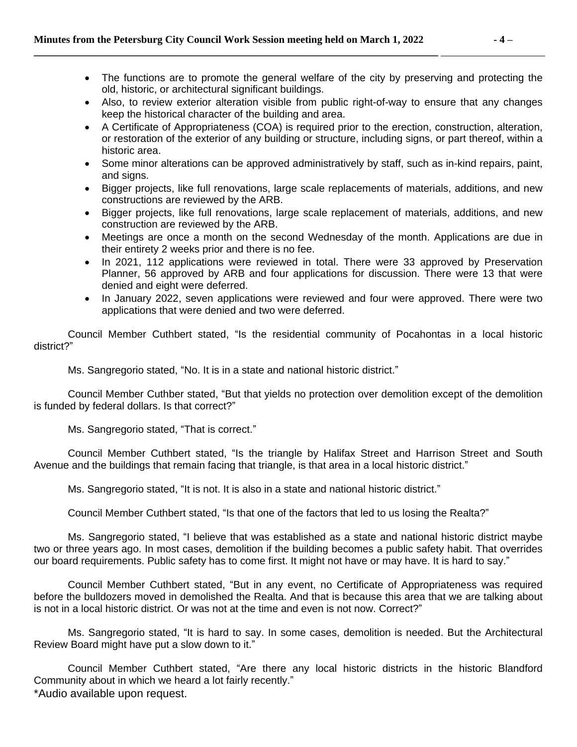- The functions are to promote the general welfare of the city by preserving and protecting the old, historic, or architectural significant buildings.
- Also, to review exterior alteration visible from public right-of-way to ensure that any changes keep the historical character of the building and area.
- A Certificate of Appropriateness (COA) is required prior to the erection, construction, alteration, or restoration of the exterior of any building or structure, including signs, or part thereof, within a historic area.
- Some minor alterations can be approved administratively by staff, such as in-kind repairs, paint, and signs.
- Bigger projects, like full renovations, large scale replacements of materials, additions, and new constructions are reviewed by the ARB.
- Bigger projects, like full renovations, large scale replacement of materials, additions, and new construction are reviewed by the ARB.
- Meetings are once a month on the second Wednesday of the month. Applications are due in their entirety 2 weeks prior and there is no fee.
- In 2021, 112 applications were reviewed in total. There were 33 approved by Preservation Planner, 56 approved by ARB and four applications for discussion. There were 13 that were denied and eight were deferred.
- In January 2022, seven applications were reviewed and four were approved. There were two applications that were denied and two were deferred.

Council Member Cuthbert stated, "Is the residential community of Pocahontas in a local historic district?"

Ms. Sangregorio stated, "No. It is in a state and national historic district."

Council Member Cuthber stated, "But that yields no protection over demolition except of the demolition is funded by federal dollars. Is that correct?"

Ms. Sangregorio stated, "That is correct."

Council Member Cuthbert stated, "Is the triangle by Halifax Street and Harrison Street and South Avenue and the buildings that remain facing that triangle, is that area in a local historic district."

Ms. Sangregorio stated, "It is not. It is also in a state and national historic district."

Council Member Cuthbert stated, "Is that one of the factors that led to us losing the Realta?"

Ms. Sangregorio stated, "I believe that was established as a state and national historic district maybe two or three years ago. In most cases, demolition if the building becomes a public safety habit. That overrides our board requirements. Public safety has to come first. It might not have or may have. It is hard to say."

Council Member Cuthbert stated, "But in any event, no Certificate of Appropriateness was required before the bulldozers moved in demolished the Realta. And that is because this area that we are talking about is not in a local historic district. Or was not at the time and even is not now. Correct?"

Ms. Sangregorio stated, "It is hard to say. In some cases, demolition is needed. But the Architectural Review Board might have put a slow down to it."

\*Audio available upon request. Council Member Cuthbert stated, "Are there any local historic districts in the historic Blandford Community about in which we heard a lot fairly recently."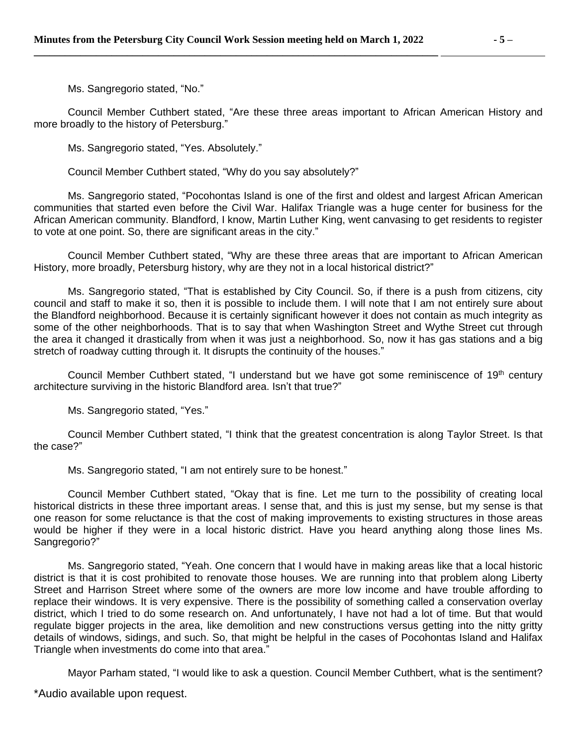Ms. Sangregorio stated, "No."

Council Member Cuthbert stated, "Are these three areas important to African American History and more broadly to the history of Petersburg."

Ms. Sangregorio stated, "Yes. Absolutely."

Council Member Cuthbert stated, "Why do you say absolutely?"

Ms. Sangregorio stated, "Pocohontas Island is one of the first and oldest and largest African American communities that started even before the Civil War. Halifax Triangle was a huge center for business for the African American community. Blandford, I know, Martin Luther King, went canvasing to get residents to register to vote at one point. So, there are significant areas in the city."

Council Member Cuthbert stated, "Why are these three areas that are important to African American History, more broadly, Petersburg history, why are they not in a local historical district?"

Ms. Sangregorio stated, "That is established by City Council. So, if there is a push from citizens, city council and staff to make it so, then it is possible to include them. I will note that I am not entirely sure about the Blandford neighborhood. Because it is certainly significant however it does not contain as much integrity as some of the other neighborhoods. That is to say that when Washington Street and Wythe Street cut through the area it changed it drastically from when it was just a neighborhood. So, now it has gas stations and a big stretch of roadway cutting through it. It disrupts the continuity of the houses."

Council Member Cuthbert stated, "I understand but we have got some reminiscence of 19<sup>th</sup> century architecture surviving in the historic Blandford area. Isn't that true?"

Ms. Sangregorio stated, "Yes."

Council Member Cuthbert stated, "I think that the greatest concentration is along Taylor Street. Is that the case?"

Ms. Sangregorio stated, "I am not entirely sure to be honest."

Council Member Cuthbert stated, "Okay that is fine. Let me turn to the possibility of creating local historical districts in these three important areas. I sense that, and this is just my sense, but my sense is that one reason for some reluctance is that the cost of making improvements to existing structures in those areas would be higher if they were in a local historic district. Have you heard anything along those lines Ms. Sangregorio?"

Ms. Sangregorio stated, "Yeah. One concern that I would have in making areas like that a local historic district is that it is cost prohibited to renovate those houses. We are running into that problem along Liberty Street and Harrison Street where some of the owners are more low income and have trouble affording to replace their windows. It is very expensive. There is the possibility of something called a conservation overlay district, which I tried to do some research on. And unfortunately, I have not had a lot of time. But that would regulate bigger projects in the area, like demolition and new constructions versus getting into the nitty gritty details of windows, sidings, and such. So, that might be helpful in the cases of Pocohontas Island and Halifax Triangle when investments do come into that area."

Mayor Parham stated, "I would like to ask a question. Council Member Cuthbert, what is the sentiment?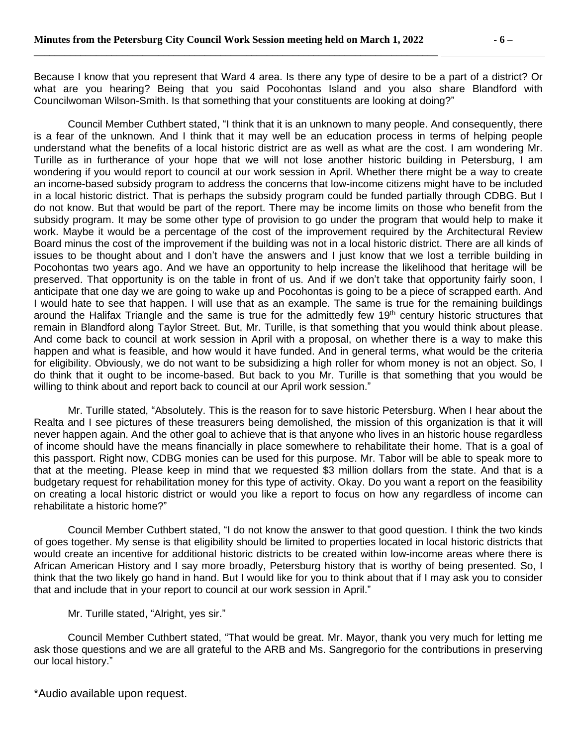Because I know that you represent that Ward 4 area. Is there any type of desire to be a part of a district? Or what are you hearing? Being that you said Pocohontas Island and you also share Blandford with Councilwoman Wilson-Smith. Is that something that your constituents are looking at doing?"

Council Member Cuthbert stated, "I think that it is an unknown to many people. And consequently, there is a fear of the unknown. And I think that it may well be an education process in terms of helping people understand what the benefits of a local historic district are as well as what are the cost. I am wondering Mr. Turille as in furtherance of your hope that we will not lose another historic building in Petersburg, I am wondering if you would report to council at our work session in April. Whether there might be a way to create an income-based subsidy program to address the concerns that low-income citizens might have to be included in a local historic district. That is perhaps the subsidy program could be funded partially through CDBG. But I do not know. But that would be part of the report. There may be income limits on those who benefit from the subsidy program. It may be some other type of provision to go under the program that would help to make it work. Maybe it would be a percentage of the cost of the improvement required by the Architectural Review Board minus the cost of the improvement if the building was not in a local historic district. There are all kinds of issues to be thought about and I don't have the answers and I just know that we lost a terrible building in Pocohontas two years ago. And we have an opportunity to help increase the likelihood that heritage will be preserved. That opportunity is on the table in front of us. And if we don't take that opportunity fairly soon, I anticipate that one day we are going to wake up and Pocohontas is going to be a piece of scrapped earth. And I would hate to see that happen. I will use that as an example. The same is true for the remaining buildings around the Halifax Triangle and the same is true for the admittedly few 19<sup>th</sup> century historic structures that remain in Blandford along Taylor Street. But, Mr. Turille, is that something that you would think about please. And come back to council at work session in April with a proposal, on whether there is a way to make this happen and what is feasible, and how would it have funded. And in general terms, what would be the criteria for eligibility. Obviously, we do not want to be subsidizing a high roller for whom money is not an object. So, I do think that it ought to be income-based. But back to you Mr. Turille is that something that you would be willing to think about and report back to council at our April work session."

Mr. Turille stated, "Absolutely. This is the reason for to save historic Petersburg. When I hear about the Realta and I see pictures of these treasurers being demolished, the mission of this organization is that it will never happen again. And the other goal to achieve that is that anyone who lives in an historic house regardless of income should have the means financially in place somewhere to rehabilitate their home. That is a goal of this passport. Right now, CDBG monies can be used for this purpose. Mr. Tabor will be able to speak more to that at the meeting. Please keep in mind that we requested \$3 million dollars from the state. And that is a budgetary request for rehabilitation money for this type of activity. Okay. Do you want a report on the feasibility on creating a local historic district or would you like a report to focus on how any regardless of income can rehabilitate a historic home?"

Council Member Cuthbert stated, "I do not know the answer to that good question. I think the two kinds of goes together. My sense is that eligibility should be limited to properties located in local historic districts that would create an incentive for additional historic districts to be created within low-income areas where there is African American History and I say more broadly, Petersburg history that is worthy of being presented. So, I think that the two likely go hand in hand. But I would like for you to think about that if I may ask you to consider that and include that in your report to council at our work session in April."

Mr. Turille stated, "Alright, yes sir."

Council Member Cuthbert stated, "That would be great. Mr. Mayor, thank you very much for letting me ask those questions and we are all grateful to the ARB and Ms. Sangregorio for the contributions in preserving our local history."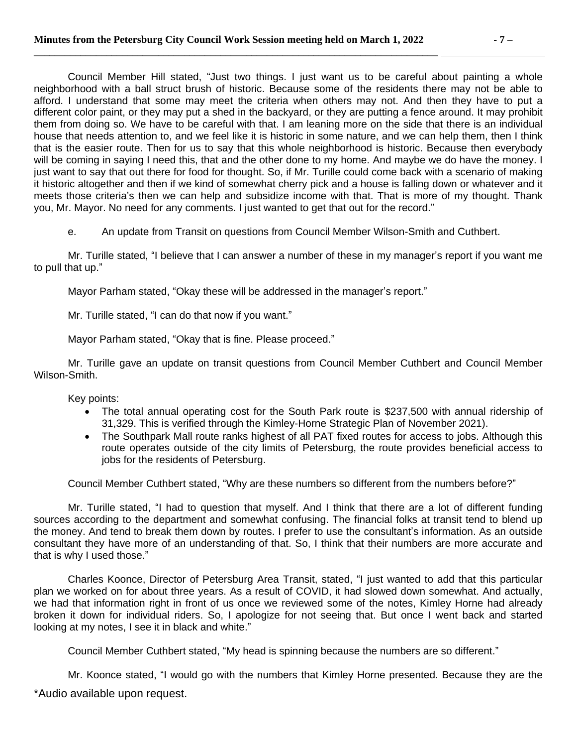Council Member Hill stated, "Just two things. I just want us to be careful about painting a whole neighborhood with a ball struct brush of historic. Because some of the residents there may not be able to afford. I understand that some may meet the criteria when others may not. And then they have to put a different color paint, or they may put a shed in the backyard, or they are putting a fence around. It may prohibit them from doing so. We have to be careful with that. I am leaning more on the side that there is an individual house that needs attention to, and we feel like it is historic in some nature, and we can help them, then I think that is the easier route. Then for us to say that this whole neighborhood is historic. Because then everybody will be coming in saying I need this, that and the other done to my home. And maybe we do have the money. I just want to say that out there for food for thought. So, if Mr. Turille could come back with a scenario of making it historic altogether and then if we kind of somewhat cherry pick and a house is falling down or whatever and it meets those criteria's then we can help and subsidize income with that. That is more of my thought. Thank you, Mr. Mayor. No need for any comments. I just wanted to get that out for the record."

e. An update from Transit on questions from Council Member Wilson-Smith and Cuthbert.

Mr. Turille stated, "I believe that I can answer a number of these in my manager's report if you want me to pull that up."

Mayor Parham stated, "Okay these will be addressed in the manager's report."

Mr. Turille stated, "I can do that now if you want."

Mayor Parham stated, "Okay that is fine. Please proceed."

Mr. Turille gave an update on transit questions from Council Member Cuthbert and Council Member Wilson-Smith.

Key points:

- The total annual operating cost for the South Park route is \$237,500 with annual ridership of 31,329. This is verified through the Kimley-Horne Strategic Plan of November 2021).
- The Southpark Mall route ranks highest of all PAT fixed routes for access to jobs. Although this route operates outside of the city limits of Petersburg, the route provides beneficial access to jobs for the residents of Petersburg.

Council Member Cuthbert stated, "Why are these numbers so different from the numbers before?"

Mr. Turille stated, "I had to question that myself. And I think that there are a lot of different funding sources according to the department and somewhat confusing. The financial folks at transit tend to blend up the money. And tend to break them down by routes. I prefer to use the consultant's information. As an outside consultant they have more of an understanding of that. So, I think that their numbers are more accurate and that is why I used those."

Charles Koonce, Director of Petersburg Area Transit, stated, "I just wanted to add that this particular plan we worked on for about three years. As a result of COVID, it had slowed down somewhat. And actually, we had that information right in front of us once we reviewed some of the notes, Kimley Horne had already broken it down for individual riders. So, I apologize for not seeing that. But once I went back and started looking at my notes, I see it in black and white."

Council Member Cuthbert stated, "My head is spinning because the numbers are so different."

\*Audio available upon request. Mr. Koonce stated, "I would go with the numbers that Kimley Horne presented. Because they are the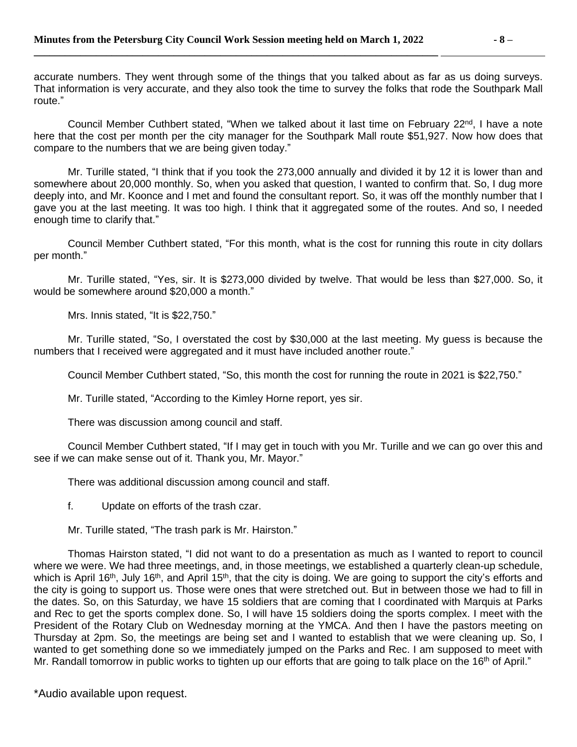accurate numbers. They went through some of the things that you talked about as far as us doing surveys. That information is very accurate, and they also took the time to survey the folks that rode the Southpark Mall route."

Council Member Cuthbert stated, "When we talked about it last time on February 22<sup>nd</sup>, I have a note here that the cost per month per the city manager for the Southpark Mall route \$51,927. Now how does that compare to the numbers that we are being given today."

Mr. Turille stated, "I think that if you took the 273,000 annually and divided it by 12 it is lower than and somewhere about 20,000 monthly. So, when you asked that question, I wanted to confirm that. So, I dug more deeply into, and Mr. Koonce and I met and found the consultant report. So, it was off the monthly number that I gave you at the last meeting. It was too high. I think that it aggregated some of the routes. And so, I needed enough time to clarify that."

Council Member Cuthbert stated, "For this month, what is the cost for running this route in city dollars per month."

Mr. Turille stated, "Yes, sir. It is \$273,000 divided by twelve. That would be less than \$27,000. So, it would be somewhere around \$20,000 a month."

Mrs. Innis stated, "It is \$22,750."

Mr. Turille stated, "So, I overstated the cost by \$30,000 at the last meeting. My guess is because the numbers that I received were aggregated and it must have included another route."

Council Member Cuthbert stated, "So, this month the cost for running the route in 2021 is \$22,750."

Mr. Turille stated, "According to the Kimley Horne report, yes sir.

There was discussion among council and staff.

Council Member Cuthbert stated, "If I may get in touch with you Mr. Turille and we can go over this and see if we can make sense out of it. Thank you, Mr. Mayor."

There was additional discussion among council and staff.

f. Update on efforts of the trash czar.

Mr. Turille stated, "The trash park is Mr. Hairston."

Thomas Hairston stated, "I did not want to do a presentation as much as I wanted to report to council where we were. We had three meetings, and, in those meetings, we established a quarterly clean-up schedule, which is April 16<sup>th</sup>, July 16<sup>th</sup>, and April 15<sup>th</sup>, that the city is doing. We are going to support the city's efforts and the city is going to support us. Those were ones that were stretched out. But in between those we had to fill in the dates. So, on this Saturday, we have 15 soldiers that are coming that I coordinated with Marquis at Parks and Rec to get the sports complex done. So, I will have 15 soldiers doing the sports complex. I meet with the President of the Rotary Club on Wednesday morning at the YMCA. And then I have the pastors meeting on Thursday at 2pm. So, the meetings are being set and I wanted to establish that we were cleaning up. So, I wanted to get something done so we immediately jumped on the Parks and Rec. I am supposed to meet with Mr. Randall tomorrow in public works to tighten up our efforts that are going to talk place on the 16<sup>th</sup> of April."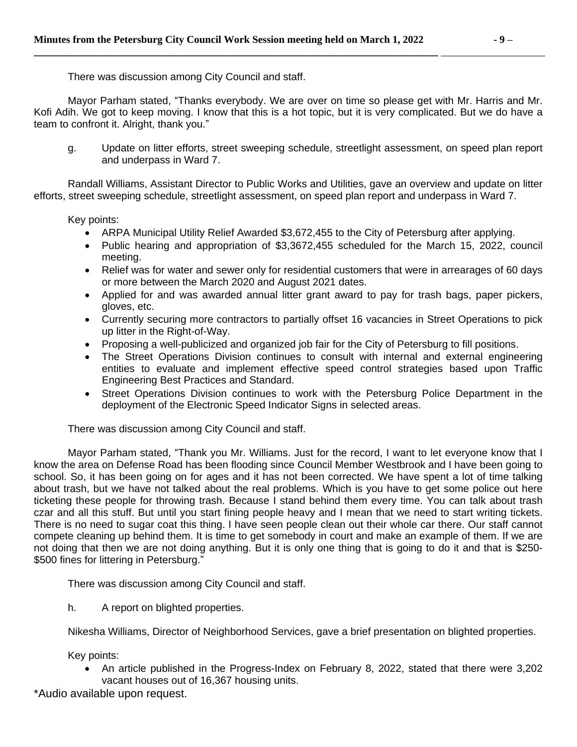There was discussion among City Council and staff.

Mayor Parham stated, "Thanks everybody. We are over on time so please get with Mr. Harris and Mr. Kofi Adih. We got to keep moving. I know that this is a hot topic, but it is very complicated. But we do have a team to confront it. Alright, thank you."

g. Update on litter efforts, street sweeping schedule, streetlight assessment, on speed plan report and underpass in Ward 7.

Randall Williams, Assistant Director to Public Works and Utilities, gave an overview and update on litter efforts, street sweeping schedule, streetlight assessment, on speed plan report and underpass in Ward 7.

Key points:

- ARPA Municipal Utility Relief Awarded \$3,672,455 to the City of Petersburg after applying.
- Public hearing and appropriation of \$3,3672,455 scheduled for the March 15, 2022, council meeting.
- Relief was for water and sewer only for residential customers that were in arrearages of 60 days or more between the March 2020 and August 2021 dates.
- Applied for and was awarded annual litter grant award to pay for trash bags, paper pickers, gloves, etc.
- Currently securing more contractors to partially offset 16 vacancies in Street Operations to pick up litter in the Right-of-Way.
- Proposing a well-publicized and organized job fair for the City of Petersburg to fill positions.
- The Street Operations Division continues to consult with internal and external engineering entities to evaluate and implement effective speed control strategies based upon Traffic Engineering Best Practices and Standard.
- Street Operations Division continues to work with the Petersburg Police Department in the deployment of the Electronic Speed Indicator Signs in selected areas.

There was discussion among City Council and staff.

Mayor Parham stated, "Thank you Mr. Williams. Just for the record, I want to let everyone know that I know the area on Defense Road has been flooding since Council Member Westbrook and I have been going to school. So, it has been going on for ages and it has not been corrected. We have spent a lot of time talking about trash, but we have not talked about the real problems. Which is you have to get some police out here ticketing these people for throwing trash. Because I stand behind them every time. You can talk about trash czar and all this stuff. But until you start fining people heavy and I mean that we need to start writing tickets. There is no need to sugar coat this thing. I have seen people clean out their whole car there. Our staff cannot compete cleaning up behind them. It is time to get somebody in court and make an example of them. If we are not doing that then we are not doing anything. But it is only one thing that is going to do it and that is \$250- \$500 fines for littering in Petersburg."

There was discussion among City Council and staff.

h. A report on blighted properties.

Nikesha Williams, Director of Neighborhood Services, gave a brief presentation on blighted properties.

Key points:

 An article published in the Progress-Index on February 8, 2022, stated that there were 3,202 vacant houses out of 16,367 housing units.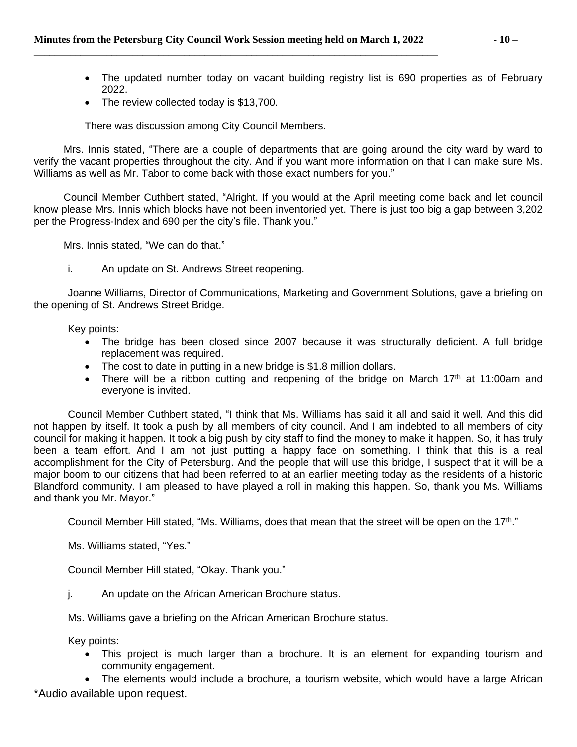- The updated number today on vacant building registry list is 690 properties as of February 2022.
- The review collected today is \$13,700.

There was discussion among City Council Members.

Mrs. Innis stated, "There are a couple of departments that are going around the city ward by ward to verify the vacant properties throughout the city. And if you want more information on that I can make sure Ms. Williams as well as Mr. Tabor to come back with those exact numbers for you."

Council Member Cuthbert stated, "Alright. If you would at the April meeting come back and let council know please Mrs. Innis which blocks have not been inventoried yet. There is just too big a gap between 3,202 per the Progress-Index and 690 per the city's file. Thank you."

Mrs. Innis stated, "We can do that."

i. An update on St. Andrews Street reopening.

Joanne Williams, Director of Communications, Marketing and Government Solutions, gave a briefing on the opening of St. Andrews Street Bridge.

Key points:

- The bridge has been closed since 2007 because it was structurally deficient. A full bridge replacement was required.
- The cost to date in putting in a new bridge is \$1.8 million dollars.
- There will be a ribbon cutting and reopening of the bridge on March  $17<sup>th</sup>$  at  $11:00$ am and everyone is invited.

Council Member Cuthbert stated, "I think that Ms. Williams has said it all and said it well. And this did not happen by itself. It took a push by all members of city council. And I am indebted to all members of city council for making it happen. It took a big push by city staff to find the money to make it happen. So, it has truly been a team effort. And I am not just putting a happy face on something. I think that this is a real accomplishment for the City of Petersburg. And the people that will use this bridge, I suspect that it will be a major boom to our citizens that had been referred to at an earlier meeting today as the residents of a historic Blandford community. I am pleased to have played a roll in making this happen. So, thank you Ms. Williams and thank you Mr. Mayor."

Council Member Hill stated, "Ms. Williams, does that mean that the street will be open on the 17<sup>th</sup>."

Ms. Williams stated, "Yes."

Council Member Hill stated, "Okay. Thank you."

j. An update on the African American Brochure status.

Ms. Williams gave a briefing on the African American Brochure status.

Key points:

 This project is much larger than a brochure. It is an element for expanding tourism and community engagement.

\*Audio available upon request. The elements would include a brochure, a tourism website, which would have a large African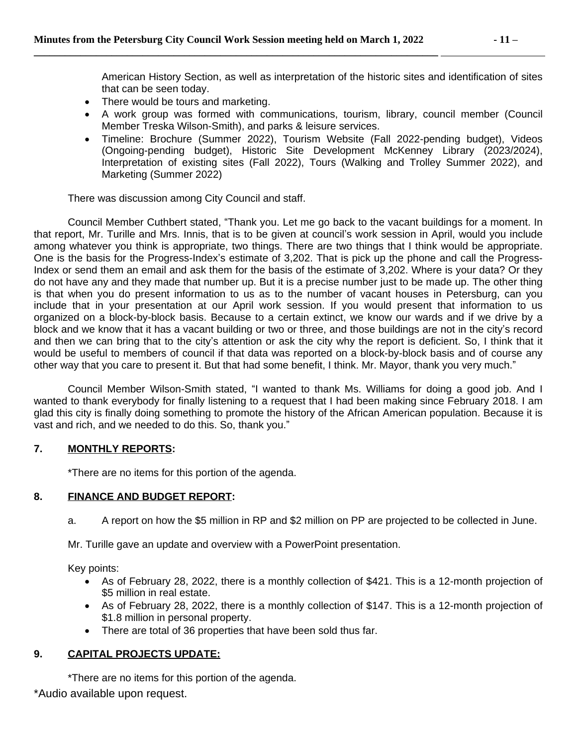American History Section, as well as interpretation of the historic sites and identification of sites that can be seen today.

- There would be tours and marketing.
- A work group was formed with communications, tourism, library, council member (Council Member Treska Wilson-Smith), and parks & leisure services.
- Timeline: Brochure (Summer 2022), Tourism Website (Fall 2022-pending budget), Videos (Ongoing-pending budget), Historic Site Development McKenney Library (2023/2024), Interpretation of existing sites (Fall 2022), Tours (Walking and Trolley Summer 2022), and Marketing (Summer 2022)

There was discussion among City Council and staff.

Council Member Cuthbert stated, "Thank you. Let me go back to the vacant buildings for a moment. In that report, Mr. Turille and Mrs. Innis, that is to be given at council's work session in April, would you include among whatever you think is appropriate, two things. There are two things that I think would be appropriate. One is the basis for the Progress-Index's estimate of 3,202. That is pick up the phone and call the Progress-Index or send them an email and ask them for the basis of the estimate of 3,202. Where is your data? Or they do not have any and they made that number up. But it is a precise number just to be made up. The other thing is that when you do present information to us as to the number of vacant houses in Petersburg, can you include that in your presentation at our April work session. If you would present that information to us organized on a block-by-block basis. Because to a certain extinct, we know our wards and if we drive by a block and we know that it has a vacant building or two or three, and those buildings are not in the city's record and then we can bring that to the city's attention or ask the city why the report is deficient. So, I think that it would be useful to members of council if that data was reported on a block-by-block basis and of course any other way that you care to present it. But that had some benefit, I think. Mr. Mayor, thank you very much."

Council Member Wilson-Smith stated, "I wanted to thank Ms. Williams for doing a good job. And I wanted to thank everybody for finally listening to a request that I had been making since February 2018. I am glad this city is finally doing something to promote the history of the African American population. Because it is vast and rich, and we needed to do this. So, thank you."

### **7. MONTHLY REPORTS:**

\*There are no items for this portion of the agenda.

### **8. FINANCE AND BUDGET REPORT:**

a. A report on how the \$5 million in RP and \$2 million on PP are projected to be collected in June.

Mr. Turille gave an update and overview with a PowerPoint presentation.

Key points:

- As of February 28, 2022, there is a monthly collection of \$421. This is a 12-month projection of \$5 million in real estate.
- As of February 28, 2022, there is a monthly collection of \$147. This is a 12-month projection of \$1.8 million in personal property.
- There are total of 36 properties that have been sold thus far.

### **9. CAPITAL PROJECTS UPDATE:**

\*There are no items for this portion of the agenda.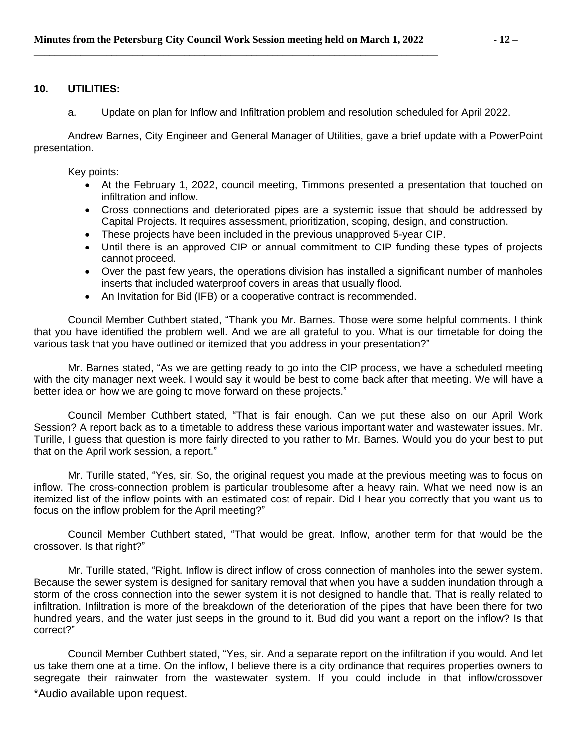#### **10. UTILITIES:**

a. Update on plan for Inflow and Infiltration problem and resolution scheduled for April 2022.

Andrew Barnes, City Engineer and General Manager of Utilities, gave a brief update with a PowerPoint presentation.

Key points:

- At the February 1, 2022, council meeting, Timmons presented a presentation that touched on infiltration and inflow.
- Cross connections and deteriorated pipes are a systemic issue that should be addressed by Capital Projects. It requires assessment, prioritization, scoping, design, and construction.
- These projects have been included in the previous unapproved 5-year CIP.
- Until there is an approved CIP or annual commitment to CIP funding these types of projects cannot proceed.
- Over the past few years, the operations division has installed a significant number of manholes inserts that included waterproof covers in areas that usually flood.
- An Invitation for Bid (IFB) or a cooperative contract is recommended.

Council Member Cuthbert stated, "Thank you Mr. Barnes. Those were some helpful comments. I think that you have identified the problem well. And we are all grateful to you. What is our timetable for doing the various task that you have outlined or itemized that you address in your presentation?"

Mr. Barnes stated, "As we are getting ready to go into the CIP process, we have a scheduled meeting with the city manager next week. I would say it would be best to come back after that meeting. We will have a better idea on how we are going to move forward on these projects."

Council Member Cuthbert stated, "That is fair enough. Can we put these also on our April Work Session? A report back as to a timetable to address these various important water and wastewater issues. Mr. Turille, I guess that question is more fairly directed to you rather to Mr. Barnes. Would you do your best to put that on the April work session, a report."

Mr. Turille stated, "Yes, sir. So, the original request you made at the previous meeting was to focus on inflow. The cross-connection problem is particular troublesome after a heavy rain. What we need now is an itemized list of the inflow points with an estimated cost of repair. Did I hear you correctly that you want us to focus on the inflow problem for the April meeting?"

Council Member Cuthbert stated, "That would be great. Inflow, another term for that would be the crossover. Is that right?"

Mr. Turille stated, "Right. Inflow is direct inflow of cross connection of manholes into the sewer system. Because the sewer system is designed for sanitary removal that when you have a sudden inundation through a storm of the cross connection into the sewer system it is not designed to handle that. That is really related to infiltration. Infiltration is more of the breakdown of the deterioration of the pipes that have been there for two hundred years, and the water just seeps in the ground to it. Bud did you want a report on the inflow? Is that correct?"

\*Audio available upon request. Council Member Cuthbert stated, "Yes, sir. And a separate report on the infiltration if you would. And let us take them one at a time. On the inflow, I believe there is a city ordinance that requires properties owners to segregate their rainwater from the wastewater system. If you could include in that inflow/crossover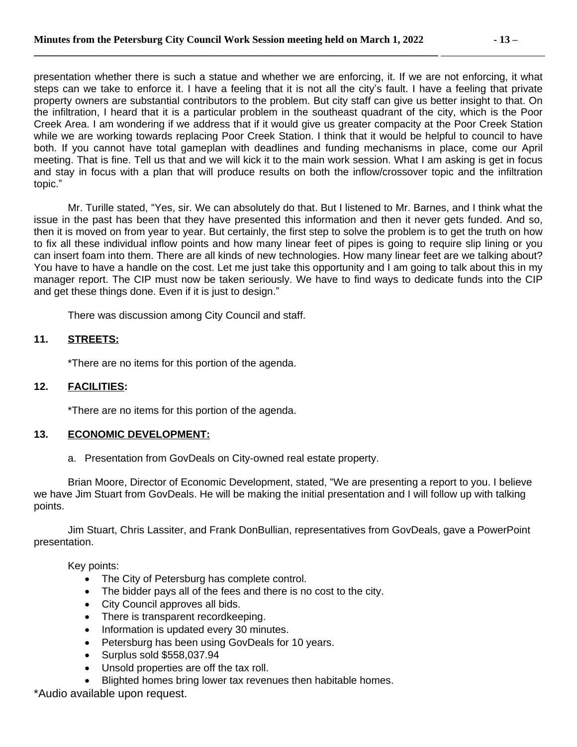presentation whether there is such a statue and whether we are enforcing, it. If we are not enforcing, it what steps can we take to enforce it. I have a feeling that it is not all the city's fault. I have a feeling that private property owners are substantial contributors to the problem. But city staff can give us better insight to that. On the infiltration, I heard that it is a particular problem in the southeast quadrant of the city, which is the Poor Creek Area. I am wondering if we address that if it would give us greater compacity at the Poor Creek Station while we are working towards replacing Poor Creek Station. I think that it would be helpful to council to have both. If you cannot have total gameplan with deadlines and funding mechanisms in place, come our April meeting. That is fine. Tell us that and we will kick it to the main work session. What I am asking is get in focus and stay in focus with a plan that will produce results on both the inflow/crossover topic and the infiltration topic."

Mr. Turille stated, "Yes, sir. We can absolutely do that. But I listened to Mr. Barnes, and I think what the issue in the past has been that they have presented this information and then it never gets funded. And so, then it is moved on from year to year. But certainly, the first step to solve the problem is to get the truth on how to fix all these individual inflow points and how many linear feet of pipes is going to require slip lining or you can insert foam into them. There are all kinds of new technologies. How many linear feet are we talking about? You have to have a handle on the cost. Let me just take this opportunity and I am going to talk about this in my manager report. The CIP must now be taken seriously. We have to find ways to dedicate funds into the CIP and get these things done. Even if it is just to design."

There was discussion among City Council and staff.

### **11. STREETS:**

\*There are no items for this portion of the agenda.

### **12. FACILITIES:**

\*There are no items for this portion of the agenda.

### **13. ECONOMIC DEVELOPMENT:**

a. Presentation from GovDeals on City-owned real estate property.

Brian Moore, Director of Economic Development, stated, "We are presenting a report to you. I believe we have Jim Stuart from GovDeals. He will be making the initial presentation and I will follow up with talking points.

Jim Stuart, Chris Lassiter, and Frank DonBullian, representatives from GovDeals, gave a PowerPoint presentation.

Key points:

- The City of Petersburg has complete control.
- The bidder pays all of the fees and there is no cost to the city.
- City Council approves all bids.
- There is transparent recordkeeping.
- Information is updated every 30 minutes.
- Petersburg has been using GovDeals for 10 years.
- Surplus sold \$558,037.94
- Unsold properties are off the tax roll.
- Blighted homes bring lower tax revenues then habitable homes.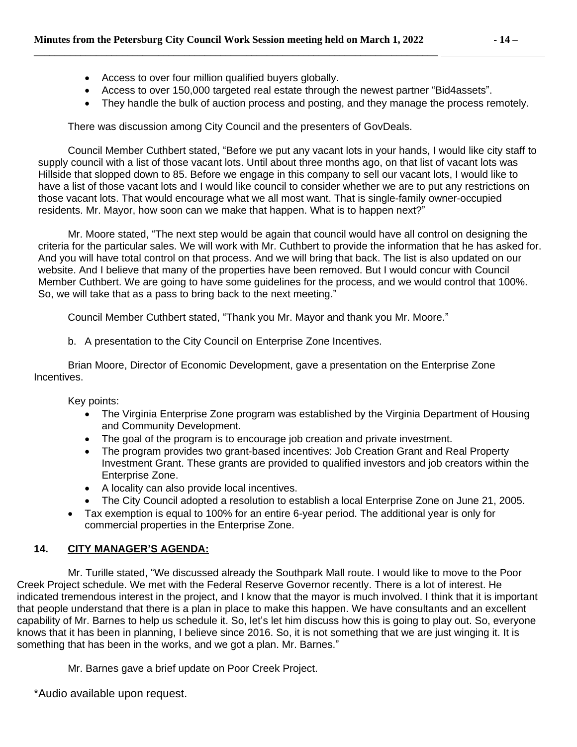- Access to over four million qualified buyers globally.
- Access to over 150,000 targeted real estate through the newest partner "Bid4assets".
- They handle the bulk of auction process and posting, and they manage the process remotely.

There was discussion among City Council and the presenters of GovDeals.

Council Member Cuthbert stated, "Before we put any vacant lots in your hands, I would like city staff to supply council with a list of those vacant lots. Until about three months ago, on that list of vacant lots was Hillside that slopped down to 85. Before we engage in this company to sell our vacant lots, I would like to have a list of those vacant lots and I would like council to consider whether we are to put any restrictions on those vacant lots. That would encourage what we all most want. That is single-family owner-occupied residents. Mr. Mayor, how soon can we make that happen. What is to happen next?"

Mr. Moore stated, "The next step would be again that council would have all control on designing the criteria for the particular sales. We will work with Mr. Cuthbert to provide the information that he has asked for. And you will have total control on that process. And we will bring that back. The list is also updated on our website. And I believe that many of the properties have been removed. But I would concur with Council Member Cuthbert. We are going to have some guidelines for the process, and we would control that 100%. So, we will take that as a pass to bring back to the next meeting."

Council Member Cuthbert stated, "Thank you Mr. Mayor and thank you Mr. Moore."

b. A presentation to the City Council on Enterprise Zone Incentives.

Brian Moore, Director of Economic Development, gave a presentation on the Enterprise Zone Incentives.

Key points:

- The Virginia Enterprise Zone program was established by the Virginia Department of Housing and Community Development.
- The goal of the program is to encourage job creation and private investment.
- The program provides two grant-based incentives: Job Creation Grant and Real Property Investment Grant. These grants are provided to qualified investors and job creators within the Enterprise Zone.
- A locality can also provide local incentives.
- The City Council adopted a resolution to establish a local Enterprise Zone on June 21, 2005.
- Tax exemption is equal to 100% for an entire 6-year period. The additional year is only for commercial properties in the Enterprise Zone.

# **14. CITY MANAGER'S AGENDA:**

Mr. Turille stated, "We discussed already the Southpark Mall route. I would like to move to the Poor Creek Project schedule. We met with the Federal Reserve Governor recently. There is a lot of interest. He indicated tremendous interest in the project, and I know that the mayor is much involved. I think that it is important that people understand that there is a plan in place to make this happen. We have consultants and an excellent capability of Mr. Barnes to help us schedule it. So, let's let him discuss how this is going to play out. So, everyone knows that it has been in planning, I believe since 2016. So, it is not something that we are just winging it. It is something that has been in the works, and we got a plan. Mr. Barnes."

Mr. Barnes gave a brief update on Poor Creek Project.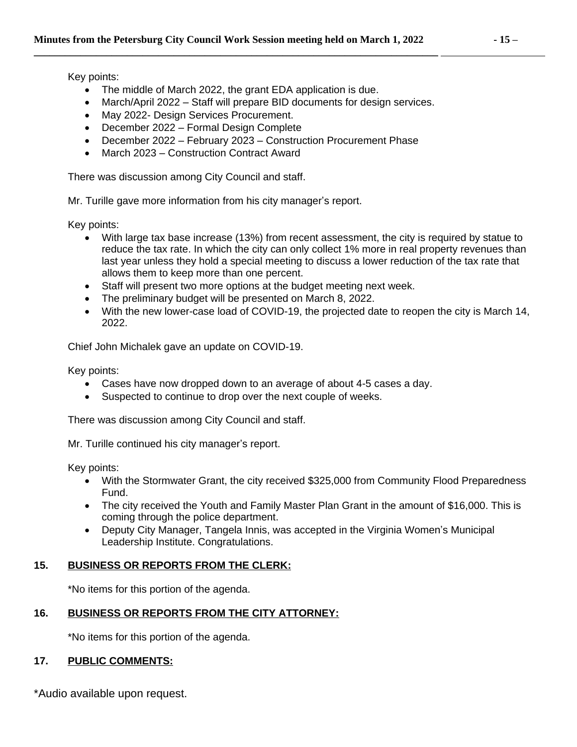Key points:

- The middle of March 2022, the grant EDA application is due.
- March/April 2022 Staff will prepare BID documents for design services.
- May 2022- Design Services Procurement.
- December 2022 Formal Design Complete
- December 2022 February 2023 Construction Procurement Phase
- March 2023 Construction Contract Award

There was discussion among City Council and staff.

Mr. Turille gave more information from his city manager's report.

Key points:

- With large tax base increase (13%) from recent assessment, the city is required by statue to reduce the tax rate. In which the city can only collect 1% more in real property revenues than last year unless they hold a special meeting to discuss a lower reduction of the tax rate that allows them to keep more than one percent.
- Staff will present two more options at the budget meeting next week.
- The preliminary budget will be presented on March 8, 2022.
- With the new lower-case load of COVID-19, the projected date to reopen the city is March 14, 2022.

Chief John Michalek gave an update on COVID-19.

Key points:

- Cases have now dropped down to an average of about 4-5 cases a day.
- Suspected to continue to drop over the next couple of weeks.

There was discussion among City Council and staff.

Mr. Turille continued his city manager's report.

Key points:

- With the Stormwater Grant, the city received \$325,000 from Community Flood Preparedness Fund.
- The city received the Youth and Family Master Plan Grant in the amount of \$16,000. This is coming through the police department.
- Deputy City Manager, Tangela Innis, was accepted in the Virginia Women's Municipal Leadership Institute. Congratulations.

### **15. BUSINESS OR REPORTS FROM THE CLERK:**

\*No items for this portion of the agenda.

### **16. BUSINESS OR REPORTS FROM THE CITY ATTORNEY:**

\*No items for this portion of the agenda.

### **17. PUBLIC COMMENTS:**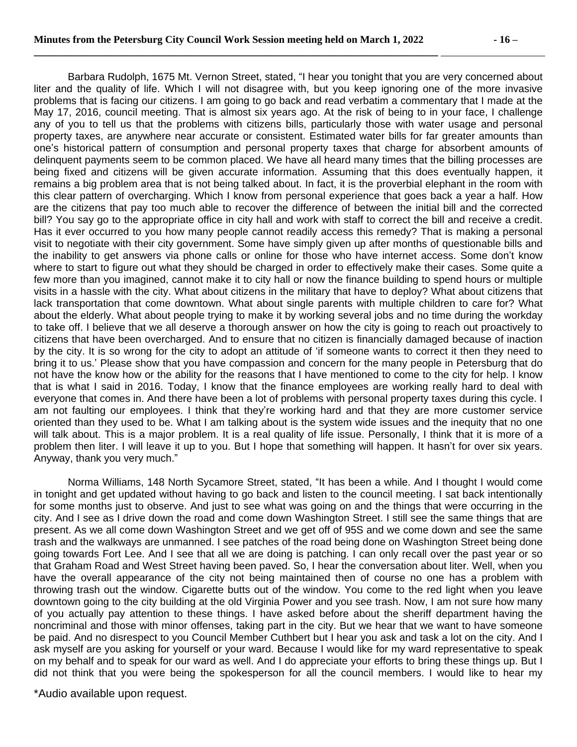Barbara Rudolph, 1675 Mt. Vernon Street, stated, "I hear you tonight that you are very concerned about liter and the quality of life. Which I will not disagree with, but you keep ignoring one of the more invasive problems that is facing our citizens. I am going to go back and read verbatim a commentary that I made at the May 17, 2016, council meeting. That is almost six years ago. At the risk of being to in your face, I challenge any of you to tell us that the problems with citizens bills, particularly those with water usage and personal property taxes, are anywhere near accurate or consistent. Estimated water bills for far greater amounts than one's historical pattern of consumption and personal property taxes that charge for absorbent amounts of delinquent payments seem to be common placed. We have all heard many times that the billing processes are being fixed and citizens will be given accurate information. Assuming that this does eventually happen, it remains a big problem area that is not being talked about. In fact, it is the proverbial elephant in the room with this clear pattern of overcharging. Which I know from personal experience that goes back a year a half. How are the citizens that pay too much able to recover the difference of between the initial bill and the corrected bill? You say go to the appropriate office in city hall and work with staff to correct the bill and receive a credit. Has it ever occurred to you how many people cannot readily access this remedy? That is making a personal visit to negotiate with their city government. Some have simply given up after months of questionable bills and the inability to get answers via phone calls or online for those who have internet access. Some don't know where to start to figure out what they should be charged in order to effectively make their cases. Some quite a few more than you imagined, cannot make it to city hall or now the finance building to spend hours or multiple visits in a hassle with the city. What about citizens in the military that have to deploy? What about citizens that lack transportation that come downtown. What about single parents with multiple children to care for? What about the elderly. What about people trying to make it by working several jobs and no time during the workday to take off. I believe that we all deserve a thorough answer on how the city is going to reach out proactively to citizens that have been overcharged. And to ensure that no citizen is financially damaged because of inaction by the city. It is so wrong for the city to adopt an attitude of 'if someone wants to correct it then they need to bring it to us.' Please show that you have compassion and concern for the many people in Petersburg that do not have the know how or the ability for the reasons that I have mentioned to come to the city for help. I know that is what I said in 2016. Today, I know that the finance employees are working really hard to deal with everyone that comes in. And there have been a lot of problems with personal property taxes during this cycle. I am not faulting our employees. I think that they're working hard and that they are more customer service oriented than they used to be. What I am talking about is the system wide issues and the inequity that no one will talk about. This is a major problem. It is a real quality of life issue. Personally, I think that it is more of a problem then liter. I will leave it up to you. But I hope that something will happen. It hasn't for over six years. Anyway, thank you very much."

Norma Williams, 148 North Sycamore Street, stated, "It has been a while. And I thought I would come in tonight and get updated without having to go back and listen to the council meeting. I sat back intentionally for some months just to observe. And just to see what was going on and the things that were occurring in the city. And I see as I drive down the road and come down Washington Street. I still see the same things that are present. As we all come down Washington Street and we get off of 95S and we come down and see the same trash and the walkways are unmanned. I see patches of the road being done on Washington Street being done going towards Fort Lee. And I see that all we are doing is patching. I can only recall over the past year or so that Graham Road and West Street having been paved. So, I hear the conversation about liter. Well, when you have the overall appearance of the city not being maintained then of course no one has a problem with throwing trash out the window. Cigarette butts out of the window. You come to the red light when you leave downtown going to the city building at the old Virginia Power and you see trash. Now, I am not sure how many of you actually pay attention to these things. I have asked before about the sheriff department having the noncriminal and those with minor offenses, taking part in the city. But we hear that we want to have someone be paid. And no disrespect to you Council Member Cuthbert but I hear you ask and task a lot on the city. And I ask myself are you asking for yourself or your ward. Because I would like for my ward representative to speak on my behalf and to speak for our ward as well. And I do appreciate your efforts to bring these things up. But I did not think that you were being the spokesperson for all the council members. I would like to hear my